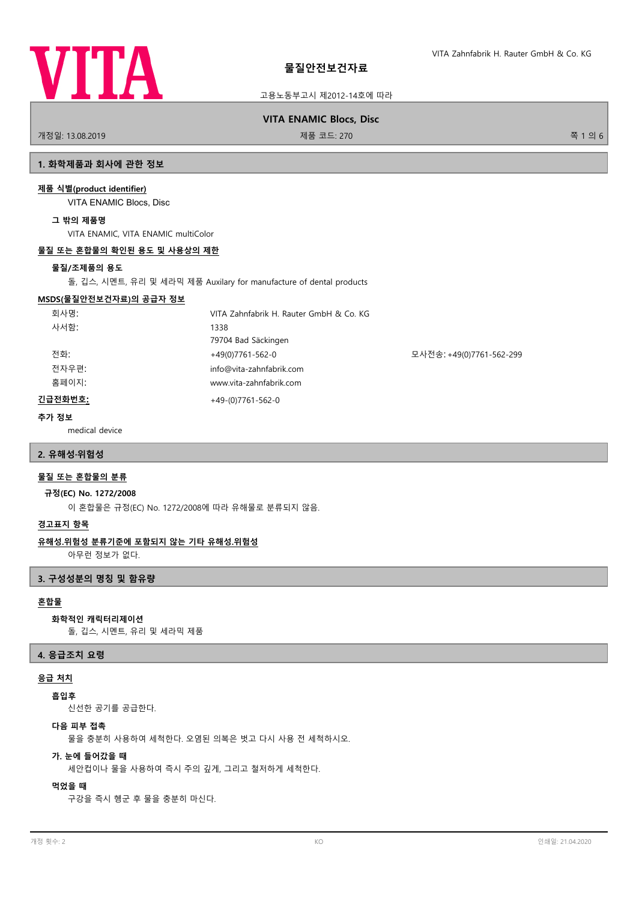

고용노동부고시 제2012-14호에 따라

# **VITA ENAMIC Blocs, Disc**

개정일: 13.08.2019 제품 코드: 270 쪽 1 의 6

# **1. 화학제품과 회사에 관한 정보**

#### **제품 식별(product identifier)**

VITA ENAMIC Blocs, Disc

#### **그 밖의 제품명**

VITA ENAMIC, VITA ENAMIC multiColor

#### **물질 또는 혼합물의 확인된 용도 및 사용상의 제한**

#### **물질/조제품의 용도**

돌, 깁스, 시멘트, 유리 및 세라믹 제품 Auxilary for manufacture of dental products

#### **MSDS(물질안전보건자료)의 공급자 정보**

| 회사명:    | VITA Zahnfabrik H. Rauter GmbH & Co. KG |                          |
|---------|-----------------------------------------|--------------------------|
| 사서함:    | 1338                                    |                          |
|         | 79704 Bad Säckingen                     |                          |
| 전화:     | $+49(0)7761-562-0$                      | 모사전송: +49(0)7761-562-299 |
| 전자우편:   | info@vita-zahnfabrik.com                |                          |
| 홈페이지:   | www.vita-zahnfabrik.com                 |                          |
| 긴급전화번호: | $+49-(0)7761-562-0$                     |                          |

# **추가 정보**

medical device

## **2. 유해성·위험성**

# **물질 또는 혼합물의 분류**

## **규정(EC) No. 1272/2008**

이 혼합물은 규정(EC) No. 1272/2008에 따라 유해물로 분류되지 않음.

# **경고표지 항목**

#### **유해성.위험성 분류기준에 포함되지 않는 기타 유해성.위험성**

아무런 정보가 없다.

# **3. 구성성분의 명칭 및 함유량**

# **혼합물**

# **화학적인 캐릭터리제이션**

돌, 깁스, 시멘트, 유리 및 세라믹 제품

#### **4. 응급조치 요령**

#### **응급 처치**

#### **흡입후**

신선한 공기를 공급한다.

# **다음 피부 접촉**

물을 충분히 사용하여 세척한다. 오염된 의복은 벗고 다시 사용 전 세척하시오.

# **가. 눈에 들어갔을 때**

세안컵이나 물을 사용하여 즉시 주의 깊게, 그리고 철저하게 세척한다.

# **먹었을 때**

구강을 즉시 헹군 후 물을 충분히 마신다.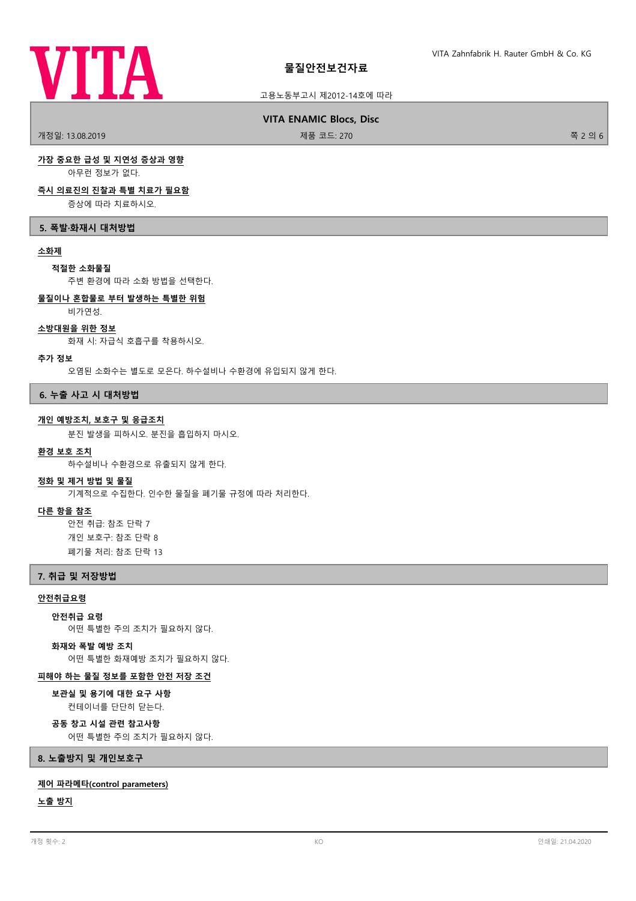

# **물질안전보건자료**

# 고용노동부고시 제2012-14호에 따라

## **VITA ENAMIC Blocs, Disc**

개정일: 13.08.2019 제품 코드: 270 쪽 2 의 6

# **가장 중요한 급성 및 지연성 증상과 영향**

아무런 정보가 없다.

#### **즉시 의료진의 진찰과 특별 치료가 필요함**

증상에 따라 치료하시오.

# **5. 폭발·화재시 대처방법**

## **소화제**

#### **적절한 소화물질**

주변 환경에 따라 소화 방법을 선택한다.

# **물질이나 혼합물로 부터 발생하는 특별한 위험**

비가연성.

#### **소방대원을 위한 정보**

화재 시: 자급식 호흡구를 착용하시오.

#### **추가 정보**

오염된 소화수는 별도로 모은다. 하수설비나 수환경에 유입되지 않게 한다.

# **6. 누출 사고 시 대처방법**

#### **개인 예방조치, 보호구 및 응급조치**

분진 발생을 피하시오. 분진을 흡입하지 마시오.

# **환경 보호 조치**

하수설비나 수환경으로 유출되지 않게 한다.

#### **정화 및 제거 방법 및 물질**

기계적으로 수집한다. 인수한 물질을 폐기물 규정에 따라 처리한다.

#### **다른 항을 참조**

안전 취급: 참조 단락 7 개인 보호구: 참조 단락 8 폐기물 처리: 참조 단락 13

#### **7. 취급 및 저장방법**

# **안전취급요령**

**안전취급 요령**

어떤 특별한 주의 조치가 필요하지 않다.

#### **화재와 폭발 예방 조치**

어떤 특별한 화재예방 조치가 필요하지 않다.

#### **피해야 하는 물질 정보를 포함한 안전 저장 조건**

컨테이너를 단단히 닫는다. **보관실 및 용기에 대한 요구 사항**

# **공동 창고 시설 관련 참고사항**

어떤 특별한 주의 조치가 필요하지 않다.

#### **8. 노출방지 및 개인보호구**

#### **제어 파라메타(control parameters)**

**노출 방지**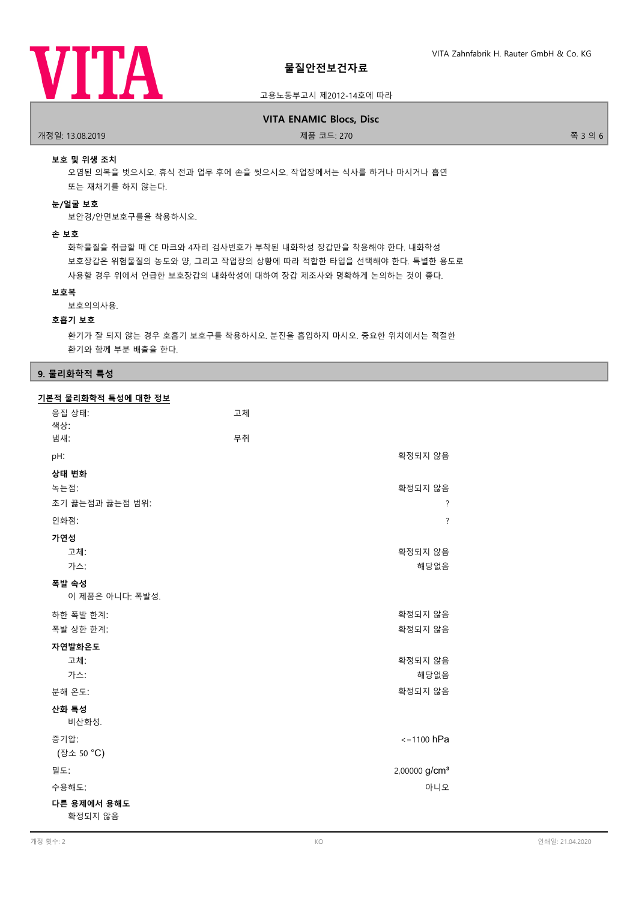

# 고용노동부고시 제2012-14호에 따라

# **VITA ENAMIC Blocs, Disc**

개정일: 13.08.2019 제품 코드: 270 쪽 3 의 6

# **보호 및 위생 조치**

오염된 의복을 벗으시오. 휴식 전과 업무 후에 손을 씻으시오. 작업장에서는 식사를 하거나 마시거나 흡연 또는 재채기를 하지 않는다.

# **눈/얼굴 보호**

보안경/안면보호구를을 착용하시오.

#### **손 보호**

화학물질을 취급할 때 CE 마크와 4자리 검사번호가 부착된 내화학성 장갑만을 착용해야 한다. 내화학성 보호장갑은 위험물질의 농도와 양, 그리고 작업장의 상황에 따라 적합한 타입을 선택해야 한다. 특별한 용도로 사용할 경우 위에서 언급한 보호장갑의 내화학성에 대하여 장갑 제조사와 명확하게 논의하는 것이 좋다.

# **보호복**

보호의의사용.

# **호흡기 보호**

환기가 잘 되지 않는 경우 호흡기 보호구를 착용하시오. 분진을 흡입하지 마시오. 중요한 위치에서는 적절한 환기와 함께 부분 배출을 한다.

# **9. 물리화학적 특성**

| 기본적 물리화학적 특성에 대한 정보 |    |                           |
|---------------------|----|---------------------------|
| 응집 상태:              | 고체 |                           |
| 색상:                 |    |                           |
| 냄새:                 | 무취 |                           |
| pH:                 |    | 확정되지 않음                   |
| 상태 변화               |    |                           |
| 녹는점:                |    | 확정되지 않음                   |
| 초기 끓는점과 끓는점 범위:     |    | ?                         |
| 인화점:                |    | $\overline{?}$            |
| 가연성                 |    |                           |
| 고체:                 |    | 확정되지 않음                   |
| 가스:                 |    | 해당없음                      |
| 폭발 속성               |    |                           |
| 이 제품은 아니다: 폭발성.     |    |                           |
| 하한 폭발 한계:           |    | 확정되지 않음                   |
| 폭발 상한 한계:           |    | 확정되지 않음                   |
| 자연발화온도              |    |                           |
| 고체:                 |    | 확정되지 않음                   |
| 가스:                 |    | 해당없음                      |
| 분해 온도:              |    | 확정되지 않음                   |
| 산화 특성               |    |                           |
| 비산화성.               |    |                           |
| 증기압:                |    | $\le$ =1100 hPa           |
| (장소 50 °C)          |    |                           |
| 밀도:                 |    | 2,00000 g/cm <sup>3</sup> |
| 수용해도:               |    | 아니오                       |
| 다른 용제에서 용해도         |    |                           |
| 확정되지 않음             |    |                           |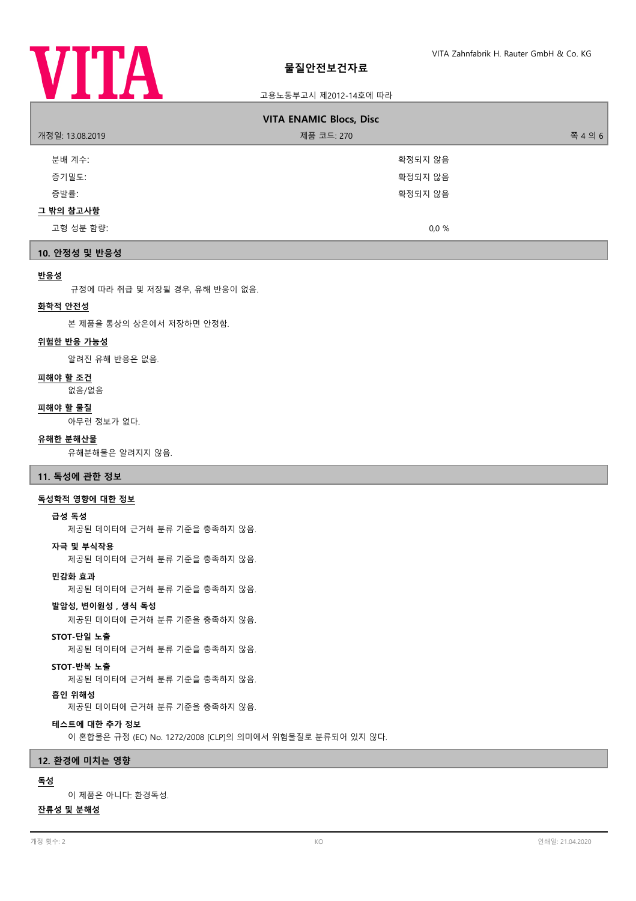

# 고용노동부고시 제2012-14호에 따라

| <b>VITA ENAMIC Blocs, Disc</b> |            |         |  |  |
|--------------------------------|------------|---------|--|--|
| 개정일: 13.08.2019                | 제품 코드: 270 | 쪽 4 의 6 |  |  |
| 분배 계수:                         | 확정되지 않음    |         |  |  |
| 증기밀도:                          | 확정되지 않음    |         |  |  |
| 증발률:                           | 확정되지 않음    |         |  |  |
| 그 밖의 참고사항                      |            |         |  |  |
| 고형 성분 함량:                      | $0.0 \%$   |         |  |  |
|                                |            |         |  |  |

# **10. 안정성 및 반응성**

# **반응성**

규정에 따라 취급 및 저장될 경우, 유해 반응이 없음.

## **화학적 안전성**

본 제품을 통상의 상온에서 저장하면 안정함.

#### **위험한 반응 가능성**

알려진 유해 반응은 없음.

#### **피해야 할 조건**

없음/없음

#### **피해야 할 물질**

아무런 정보가 없다.

#### **유해한 분해산물**

유해분해물은 알려지지 않음.

# **11. 독성에 관한 정보**

# **독성학적 영향에 대한 정보**

#### **급성 독성**

제공된 데이터에 근거해 분류 기준을 충족하지 않음.

#### **자극 및 부식작용**

제공된 데이터에 근거해 분류 기준을 충족하지 않음.

**민감화 효과**

제공된 데이터에 근거해 분류 기준을 충족하지 않음.

### **발암성, 변이원성 , 생식 독성**

제공된 데이터에 근거해 분류 기준을 충족하지 않음.

# **STOT-단일 노출**

제공된 데이터에 근거해 분류 기준을 충족하지 않음.

#### **STOT-반복 노출**

제공된 데이터에 근거해 분류 기준을 충족하지 않음.

#### **흡인 위해성**

제공된 데이터에 근거해 분류 기준을 충족하지 않음.

#### **테스트에 대한 추가 정보**

이 혼합물은 규정 (EC) No. 1272/2008 [CLP]의 의미에서 위험물질로 분류되어 있지 않다.

## **12. 환경에 미치는 영향**

# **독성**

이 제품은 아니다: 환경독성.

# **잔류성 및 분해성**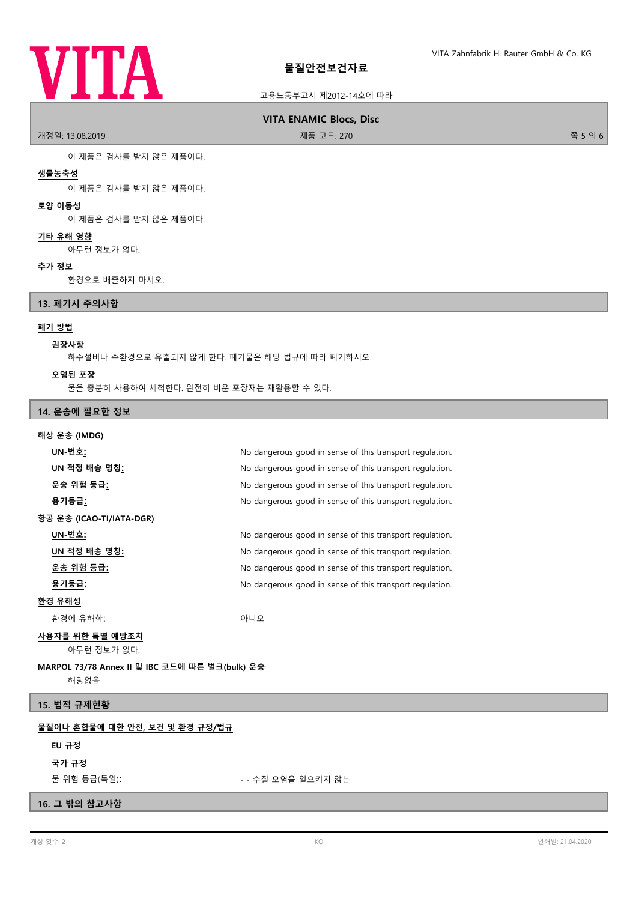# **VITA**

# 고용노동부고시 제2012-14호에 따라

# **VITA ENAMIC Blocs, Disc**

개정일: 13.08.2019 제품 코드: 270 쪽 5 의 6

이 제품은 검사를 받지 않은 제품이다.

## **생물농축성**

이 제품은 검사를 받지 않은 제품이다.

# **토양 이동성**

이 제품은 검사를 받지 않은 제품이다.

#### **기타 유해 영향**

아무런 정보가 없다.

#### **추가 정보**

환경으로 배출하지 마시오.

#### **13. 폐기시 주의사항**

#### **폐기 방법**

#### **권장사항**

하수설비나 수환경으로 유출되지 않게 한다. 폐기물은 해당 법규에 따라 폐기하시오.

**오염된 포장**

물을 충분히 사용하여 세척한다. 완전히 비운 포장재는 재활용할 수 있다.

## **14. 운송에 필요한 정보**

#### **해상 운송 (IMDG)**

| UN-번호:                                         | No dangerous good in sense of this transport regulation. |  |
|------------------------------------------------|----------------------------------------------------------|--|
| UN 적정 배송 명칭:                                   | No dangerous good in sense of this transport regulation. |  |
| <u>운송 위험 등급:</u>                               | No dangerous good in sense of this transport regulation. |  |
| <u>용기등급:</u>                                   | No dangerous good in sense of this transport regulation. |  |
| 항공 운송 (ICAO-TI/IATA-DGR)                       |                                                          |  |
| UN-번호:                                         | No dangerous good in sense of this transport regulation. |  |
| UN 적정 배송 명칭 <u>:</u>                           | No dangerous good in sense of this transport regulation. |  |
| 운송 위험 등급 <u>:</u>                              | No dangerous good in sense of this transport regulation. |  |
| 용기등급:                                          | No dangerous good in sense of this transport regulation. |  |
| <u>환경 유해성</u>                                  |                                                          |  |
| 환경에 유해함:                                       | 아니오                                                      |  |
| 사용자를 위한 특별 예방조치<br>아무런 정보가 없다.                 |                                                          |  |
| MARPOL 73/78 Annex II 및 IBC 코드에 따른 벌크(bulk) 운송 |                                                          |  |

해당없음

# **15. 법적 규제현황**

# **물질이나 혼합물에 대한 안전, 보건 및 환경 규정/법규**

# **EU 규정**

**국가 규정**

물 위험 등급(독일): - - 수질 오염을 일으키지 않는

# **16. 그 밖의 참고사항**